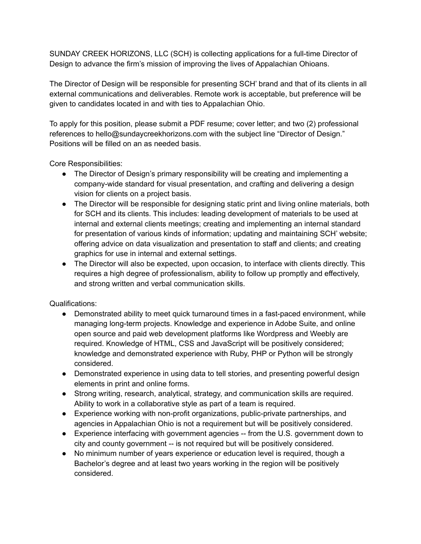SUNDAY CREEK HORIZONS, LLC (SCH) is collecting applications for a full-time Director of Design to advance the firm's mission of improving the lives of Appalachian Ohioans.

The Director of Design will be responsible for presenting SCH' brand and that of its clients in all external communications and deliverables. Remote work is acceptable, but preference will be given to candidates located in and with ties to Appalachian Ohio.

To apply for this position, please submit a PDF resume; cover letter; and two (2) professional references to hello@sundaycreekhorizons.com with the subject line "Director of Design." Positions will be filled on an as needed basis.

Core Responsibilities:

- The Director of Design's primary responsibility will be creating and implementing a company-wide standard for visual presentation, and crafting and delivering a design vision for clients on a project basis.
- The Director will be responsible for designing static print and living online materials, both for SCH and its clients. This includes: leading development of materials to be used at internal and external clients meetings; creating and implementing an internal standard for presentation of various kinds of information; updating and maintaining SCH' website; offering advice on data visualization and presentation to staff and clients; and creating graphics for use in internal and external settings.
- The Director will also be expected, upon occasion, to interface with clients directly. This requires a high degree of professionalism, ability to follow up promptly and effectively, and strong written and verbal communication skills.

Qualifications:

- Demonstrated ability to meet quick turnaround times in a fast-paced environment, while managing long-term projects. Knowledge and experience in Adobe Suite, and online open source and paid web development platforms like Wordpress and Weebly are required. Knowledge of HTML, CSS and JavaScript will be positively considered; knowledge and demonstrated experience with Ruby, PHP or Python will be strongly considered.
- Demonstrated experience in using data to tell stories, and presenting powerful design elements in print and online forms.
- Strong writing, research, analytical, strategy, and communication skills are required. Ability to work in a collaborative style as part of a team is required.
- Experience working with non-profit organizations, public-private partnerships, and agencies in Appalachian Ohio is not a requirement but will be positively considered.
- Experience interfacing with government agencies -- from the U.S. government down to city and county government -- is not required but will be positively considered.
- No minimum number of years experience or education level is required, though a Bachelor's degree and at least two years working in the region will be positively considered.